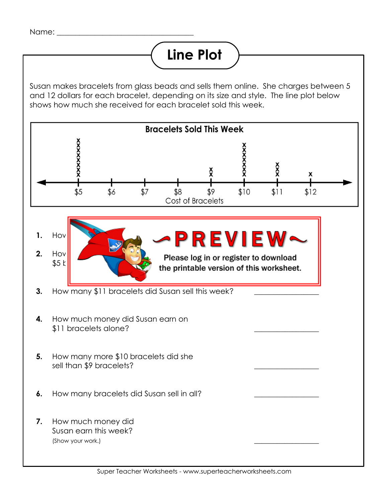## **Line Plot**

Susan makes bracelets from glass beads and sells them online. She charges between 5 and 12 dollars for each bracelet, depending on its size and style. The line plot below shows how much she received for each bracelet sold this week.